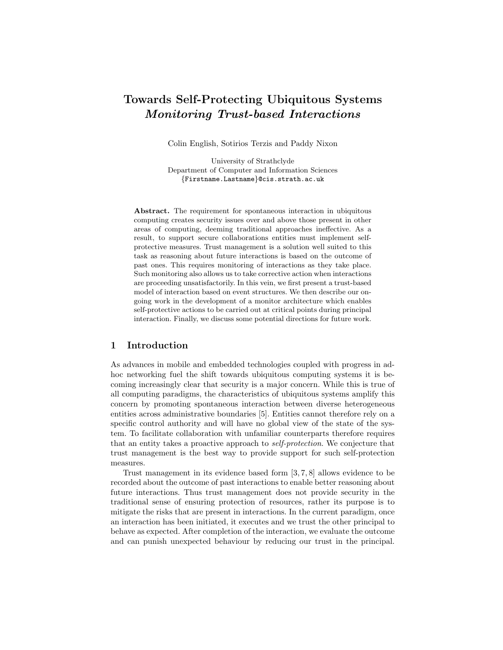# Towards Self-Protecting Ubiquitous Systems Monitoring Trust-based Interactions

Colin English, Sotirios Terzis and Paddy Nixon

University of Strathclyde Department of Computer and Information Sciences {Firstname.Lastname}@cis.strath.ac.uk

Abstract. The requirement for spontaneous interaction in ubiquitous computing creates security issues over and above those present in other areas of computing, deeming traditional approaches ineffective. As a result, to support secure collaborations entities must implement selfprotective measures. Trust management is a solution well suited to this task as reasoning about future interactions is based on the outcome of past ones. This requires monitoring of interactions as they take place. Such monitoring also allows us to take corrective action when interactions are proceeding unsatisfactorily. In this vein, we first present a trust-based model of interaction based on event structures. We then describe our ongoing work in the development of a monitor architecture which enables self-protective actions to be carried out at critical points during principal interaction. Finally, we discuss some potential directions for future work.

## 1 Introduction

As advances in mobile and embedded technologies coupled with progress in adhoc networking fuel the shift towards ubiquitous computing systems it is becoming increasingly clear that security is a major concern. While this is true of all computing paradigms, the characteristics of ubiquitous systems amplify this concern by promoting spontaneous interaction between diverse heterogeneous entities across administrative boundaries [5]. Entities cannot therefore rely on a specific control authority and will have no global view of the state of the system. To facilitate collaboration with unfamiliar counterparts therefore requires that an entity takes a proactive approach to self-protection. We conjecture that trust management is the best way to provide support for such self-protection measures.

Trust management in its evidence based form [3, 7, 8] allows evidence to be recorded about the outcome of past interactions to enable better reasoning about future interactions. Thus trust management does not provide security in the traditional sense of ensuring protection of resources, rather its purpose is to mitigate the risks that are present in interactions. In the current paradigm, once an interaction has been initiated, it executes and we trust the other principal to behave as expected. After completion of the interaction, we evaluate the outcome and can punish unexpected behaviour by reducing our trust in the principal.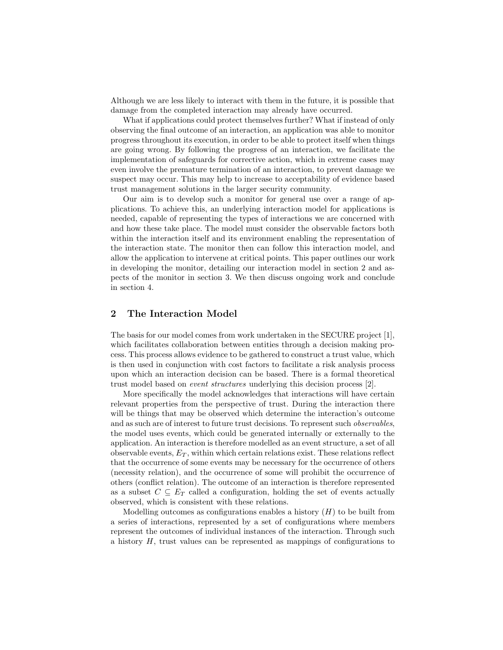Although we are less likely to interact with them in the future, it is possible that damage from the completed interaction may already have occurred.

What if applications could protect themselves further? What if instead of only observing the final outcome of an interaction, an application was able to monitor progress throughout its execution, in order to be able to protect itself when things are going wrong. By following the progress of an interaction, we facilitate the implementation of safeguards for corrective action, which in extreme cases may even involve the premature termination of an interaction, to prevent damage we suspect may occur. This may help to increase to acceptability of evidence based trust management solutions in the larger security community.

Our aim is to develop such a monitor for general use over a range of applications. To achieve this, an underlying interaction model for applications is needed, capable of representing the types of interactions we are concerned with and how these take place. The model must consider the observable factors both within the interaction itself and its environment enabling the representation of the interaction state. The monitor then can follow this interaction model, and allow the application to intervene at critical points. This paper outlines our work in developing the monitor, detailing our interaction model in section 2 and aspects of the monitor in section 3. We then discuss ongoing work and conclude in section 4.

# 2 The Interaction Model

The basis for our model comes from work undertaken in the SECURE project [1], which facilitates collaboration between entities through a decision making process. This process allows evidence to be gathered to construct a trust value, which is then used in conjunction with cost factors to facilitate a risk analysis process upon which an interaction decision can be based. There is a formal theoretical trust model based on event structures underlying this decision process [2].

More specifically the model acknowledges that interactions will have certain relevant properties from the perspective of trust. During the interaction there will be things that may be observed which determine the interaction's outcome and as such are of interest to future trust decisions. To represent such observables, the model uses events, which could be generated internally or externally to the application. An interaction is therefore modelled as an event structure, a set of all observable events,  $E_T$ , within which certain relations exist. These relations reflect that the occurrence of some events may be necessary for the occurrence of others (necessity relation), and the occurrence of some will prohibit the occurrence of others (conflict relation). The outcome of an interaction is therefore represented as a subset  $C \subseteq E_T$  called a configuration, holding the set of events actually observed, which is consistent with these relations.

Modelling outcomes as configurations enables a history  $(H)$  to be built from a series of interactions, represented by a set of configurations where members represent the outcomes of individual instances of the interaction. Through such a history  $H$ , trust values can be represented as mappings of configurations to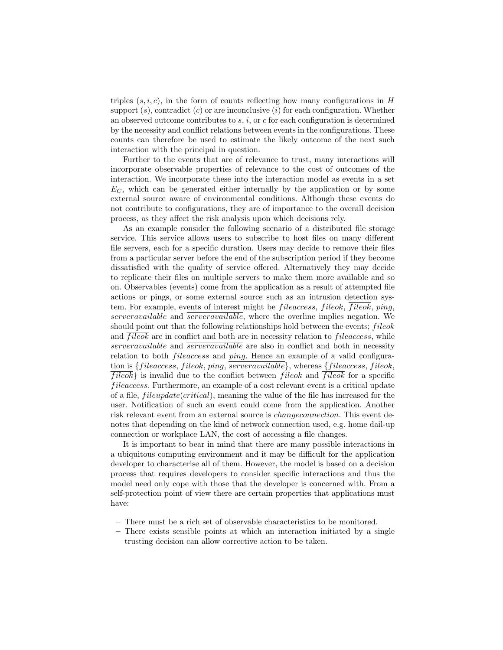triples  $(s, i, c)$ , in the form of counts reflecting how many configurations in H support  $(s)$ , contradict  $(c)$  or are inconclusive  $(i)$  for each configuration. Whether an observed outcome contributes to  $s, i$ , or c for each configuration is determined by the necessity and conflict relations between events in the configurations. These counts can therefore be used to estimate the likely outcome of the next such interaction with the principal in question.

Further to the events that are of relevance to trust, many interactions will incorporate observable properties of relevance to the cost of outcomes of the interaction. We incorporate these into the interaction model as events in a set  $E<sub>C</sub>$ , which can be generated either internally by the application or by some external source aware of environmental conditions. Although these events do not contribute to configurations, they are of importance to the overall decision process, as they affect the risk analysis upon which decisions rely.

As an example consider the following scenario of a distributed file storage service. This service allows users to subscribe to host files on many different file servers, each for a specific duration. Users may decide to remove their files from a particular server before the end of the subscription period if they become dissatisfied with the quality of service offered. Alternatively they may decide to replicate their files on multiple servers to make them more available and so on. Observables (events) come from the application as a result of attempted file actions or pings, or some external source such as an intrusion detection system. For example, events of interest might be fileaccess, fileok, fileok, ping, serveravailable and serveravailable, where the overline implies negation. We should point out that the following relationships hold between the events; fileok and *fileok* are in conflict and both are in necessity relation to *fileaccess*, while serveravailable and serveravailable are also in conflict and both in necessity relation to both *fileaccess* and *ping*. Hence an example of a valid configuration is  $\{fileaccess, fileok, ping, serveravailable\}$ , whereas  $\{fileaccess, fileok,$  $\overline{fileok}$  is invalid due to the conflict between fileok and  $\overline{fileok}$  for a specific fileaccess. Furthermore, an example of a cost relevant event is a critical update of a file, fileupdate(critical), meaning the value of the file has increased for the user. Notification of such an event could come from the application. Another risk relevant event from an external source is changeconnection. This event denotes that depending on the kind of network connection used, e.g. home dail-up connection or workplace LAN, the cost of accessing a file changes.

It is important to bear in mind that there are many possible interactions in a ubiquitous computing environment and it may be difficult for the application developer to characterise all of them. However, the model is based on a decision process that requires developers to consider specific interactions and thus the model need only cope with those that the developer is concerned with. From a self-protection point of view there are certain properties that applications must have:

- There must be a rich set of observable characteristics to be monitored.
- There exists sensible points at which an interaction initiated by a single trusting decision can allow corrective action to be taken.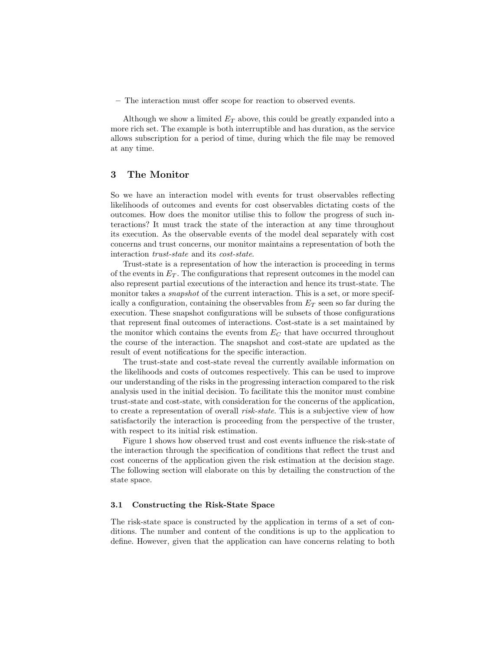– The interaction must offer scope for reaction to observed events.

Although we show a limited  $E_T$  above, this could be greatly expanded into a more rich set. The example is both interruptible and has duration, as the service allows subscription for a period of time, during which the file may be removed at any time.

## 3 The Monitor

So we have an interaction model with events for trust observables reflecting likelihoods of outcomes and events for cost observables dictating costs of the outcomes. How does the monitor utilise this to follow the progress of such interactions? It must track the state of the interaction at any time throughout its execution. As the observable events of the model deal separately with cost concerns and trust concerns, our monitor maintains a representation of both the interaction trust-state and its cost-state.

Trust-state is a representation of how the interaction is proceeding in terms of the events in  $E_T$ . The configurations that represent outcomes in the model can also represent partial executions of the interaction and hence its trust-state. The monitor takes a *snapshot* of the current interaction. This is a set, or more specifically a configuration, containing the observables from  $E_T$  seen so far during the execution. These snapshot configurations will be subsets of those configurations that represent final outcomes of interactions. Cost-state is a set maintained by the monitor which contains the events from  $E_C$  that have occurred throughout the course of the interaction. The snapshot and cost-state are updated as the result of event notifications for the specific interaction.

The trust-state and cost-state reveal the currently available information on the likelihoods and costs of outcomes respectively. This can be used to improve our understanding of the risks in the progressing interaction compared to the risk analysis used in the initial decision. To facilitate this the monitor must combine trust-state and cost-state, with consideration for the concerns of the application, to create a representation of overall *risk-state*. This is a subjective view of how satisfactorily the interaction is proceeding from the perspective of the truster, with respect to its initial risk estimation.

Figure 1 shows how observed trust and cost events influence the risk-state of the interaction through the specification of conditions that reflect the trust and cost concerns of the application given the risk estimation at the decision stage. The following section will elaborate on this by detailing the construction of the state space.

## 3.1 Constructing the Risk-State Space

The risk-state space is constructed by the application in terms of a set of conditions. The number and content of the conditions is up to the application to define. However, given that the application can have concerns relating to both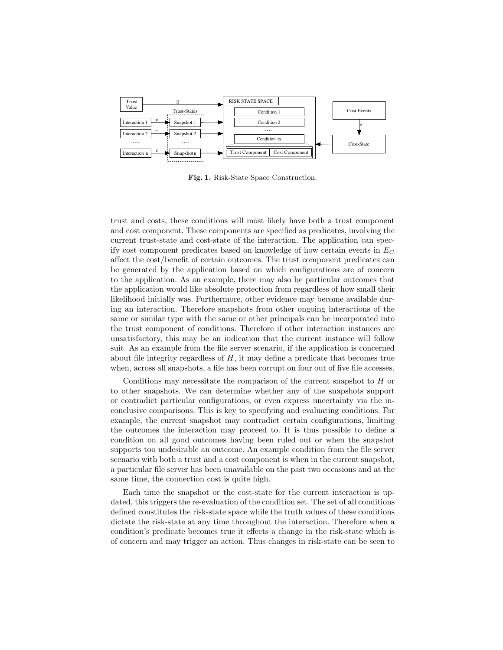

Fig. 1. Risk-State Space Construction.

trust and costs, these conditions will most likely have both a trust component and cost component. These components are specified as predicates, involving the current trust-state and cost-state of the interaction. The application can specify cost component predicates based on knowledge of how certain events in  $E_C$ affect the cost/benefit of certain outcomes. The trust component predicates can be generated by the application based on which configurations are of concern to the application. As an example, there may also be particular outcomes that the application would like absolute protection from regardless of how small their likelihood initially was. Furthermore, other evidence may become available during an interaction. Therefore snapshots from other ongoing interactions of the same or similar type with the same or other principals can be incorporated into the trust component of conditions. Therefore if other interaction instances are unsatisfactory, this may be an indication that the current instance will follow suit. As an example from the file server scenario, if the application is concerned about file integrity regardless of  $H$ , it may define a predicate that becomes true when, across all snapshots, a file has been corrupt on four out of five file accesses.

Conditions may necessitate the comparison of the current snapshot to H or to other snapshots. We can determine whether any of the snapshots support or contradict particular configurations, or even express uncertainty via the inconclusive comparisons. This is key to specifying and evaluating conditions. For example, the current snapshot may contradict certain configurations, limiting the outcomes the interaction may proceed to. It is thus possible to define a condition on all good outcomes having been ruled out or when the snapshot supports too undesirable an outcome. An example condition from the file server scenario with both a trust and a cost component is when in the current snapshot, a particular file server has been unavailable on the past two occasions and at the same time, the connection cost is quite high.

Each time the snapshot or the cost-state for the current interaction is updated, this triggers the re-evaluation of the condition set. The set of all conditions defined constitutes the risk-state space while the truth values of these conditions dictate the risk-state at any time throughout the interaction. Therefore when a condition's predicate becomes true it effects a change in the risk-state which is of concern and may trigger an action. Thus changes in risk-state can be seen to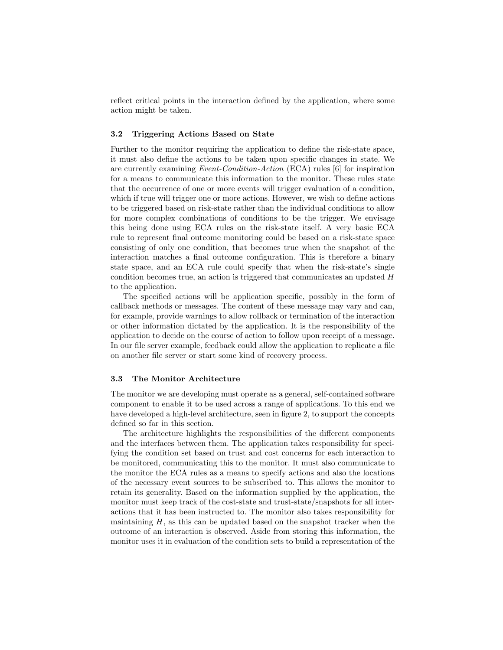reflect critical points in the interaction defined by the application, where some action might be taken.

### 3.2 Triggering Actions Based on State

Further to the monitor requiring the application to define the risk-state space, it must also define the actions to be taken upon specific changes in state. We are currently examining Event-Condition-Action (ECA) rules [6] for inspiration for a means to communicate this information to the monitor. These rules state that the occurrence of one or more events will trigger evaluation of a condition, which if true will trigger one or more actions. However, we wish to define actions to be triggered based on risk-state rather than the individual conditions to allow for more complex combinations of conditions to be the trigger. We envisage this being done using ECA rules on the risk-state itself. A very basic ECA rule to represent final outcome monitoring could be based on a risk-state space consisting of only one condition, that becomes true when the snapshot of the interaction matches a final outcome configuration. This is therefore a binary state space, and an ECA rule could specify that when the risk-state's single condition becomes true, an action is triggered that communicates an updated  $H$ to the application.

The specified actions will be application specific, possibly in the form of callback methods or messages. The content of these message may vary and can, for example, provide warnings to allow rollback or termination of the interaction or other information dictated by the application. It is the responsibility of the application to decide on the course of action to follow upon receipt of a message. In our file server example, feedback could allow the application to replicate a file on another file server or start some kind of recovery process.

#### 3.3 The Monitor Architecture

The monitor we are developing must operate as a general, self-contained software component to enable it to be used across a range of applications. To this end we have developed a high-level architecture, seen in figure 2, to support the concepts defined so far in this section.

The architecture highlights the responsibilities of the different components and the interfaces between them. The application takes responsibility for specifying the condition set based on trust and cost concerns for each interaction to be monitored, communicating this to the monitor. It must also communicate to the monitor the ECA rules as a means to specify actions and also the locations of the necessary event sources to be subscribed to. This allows the monitor to retain its generality. Based on the information supplied by the application, the monitor must keep track of the cost-state and trust-state/snapshots for all interactions that it has been instructed to. The monitor also takes responsibility for maintaining  $H$ , as this can be updated based on the snapshot tracker when the outcome of an interaction is observed. Aside from storing this information, the monitor uses it in evaluation of the condition sets to build a representation of the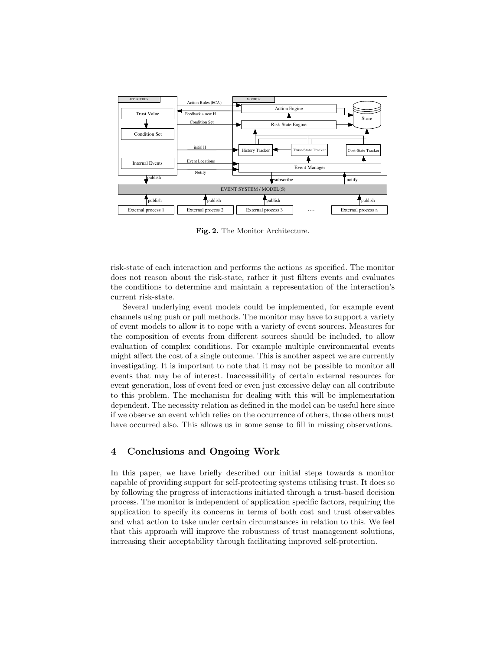

Fig. 2. The Monitor Architecture.

risk-state of each interaction and performs the actions as specified. The monitor does not reason about the risk-state, rather it just filters events and evaluates the conditions to determine and maintain a representation of the interaction's current risk-state.

Several underlying event models could be implemented, for example event channels using push or pull methods. The monitor may have to support a variety of event models to allow it to cope with a variety of event sources. Measures for the composition of events from different sources should be included, to allow evaluation of complex conditions. For example multiple environmental events might affect the cost of a single outcome. This is another aspect we are currently investigating. It is important to note that it may not be possible to monitor all events that may be of interest. Inaccessibility of certain external resources for event generation, loss of event feed or even just excessive delay can all contribute to this problem. The mechanism for dealing with this will be implementation dependent. The necessity relation as defined in the model can be useful here since if we observe an event which relies on the occurrence of others, those others must have occurred also. This allows us in some sense to fill in missing observations.

## 4 Conclusions and Ongoing Work

In this paper, we have briefly described our initial steps towards a monitor capable of providing support for self-protecting systems utilising trust. It does so by following the progress of interactions initiated through a trust-based decision process. The monitor is independent of application specific factors, requiring the application to specify its concerns in terms of both cost and trust observables and what action to take under certain circumstances in relation to this. We feel that this approach will improve the robustness of trust management solutions, increasing their acceptability through facilitating improved self-protection.